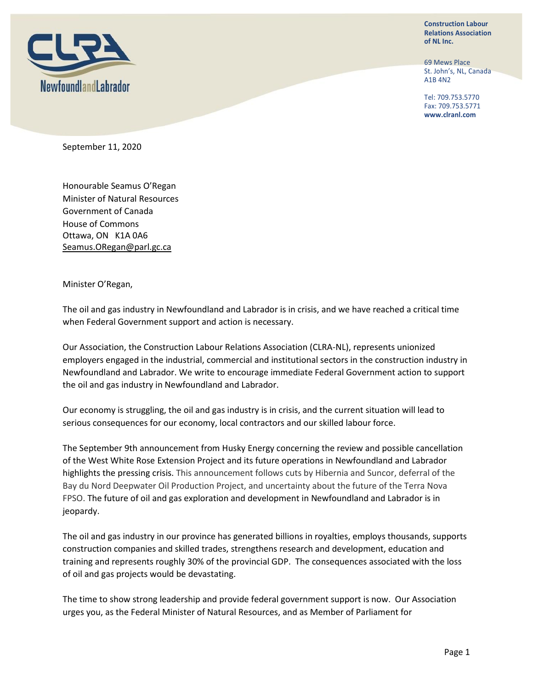

**Construction Labour Relations Association of NL Inc.**

69 Mews Place St. John's, NL, Canada A1B 4N2

Tel: 709.753.5770 Fax: 709.753.5771 **www.clranl.com**

September 11, 2020

Honourable Seamus O'Regan Minister of Natural Resources Government of Canada House of Commons Ottawa, ON K1A 0A6 [Seamus.ORegan@parl.gc.ca](mailto:Seamus.ORegan@parl.gc.ca)

Minister O'Regan,

The oil and gas industry in Newfoundland and Labrador is in crisis, and we have reached a critical time when Federal Government support and action is necessary.

Our Association, the Construction Labour Relations Association (CLRA-NL), represents unionized employers engaged in the industrial, commercial and institutional sectors in the construction industry in Newfoundland and Labrador. We write to encourage immediate Federal Government action to support the oil and gas industry in Newfoundland and Labrador.

Our economy is struggling, the oil and gas industry is in crisis, and the current situation will lead to serious consequences for our economy, local contractors and our skilled labour force.

The September 9th announcement from Husky Energy concerning the review and possible cancellation of the West White Rose Extension Project and its future operations in Newfoundland and Labrador highlights the pressing crisis. This announcement follows cuts by Hibernia and Suncor, deferral of the Bay du Nord Deepwater Oil Production Project, and uncertainty about the future of the Terra Nova FPSO. The future of oil and gas exploration and development in Newfoundland and Labrador is in jeopardy.

The oil and gas industry in our province has generated billions in royalties, employs thousands, supports construction companies and skilled trades, strengthens research and development, education and training and represents roughly 30% of the provincial GDP. The consequences associated with the loss of oil and gas projects would be devastating.

The time to show strong leadership and provide federal government support is now. Our Association urges you, as the Federal Minister of Natural Resources, and as Member of Parliament for